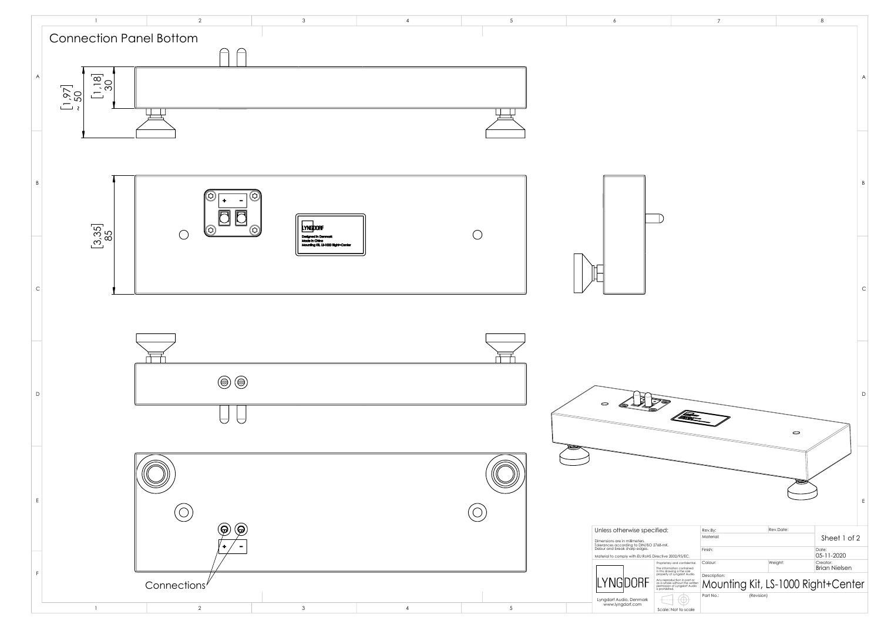